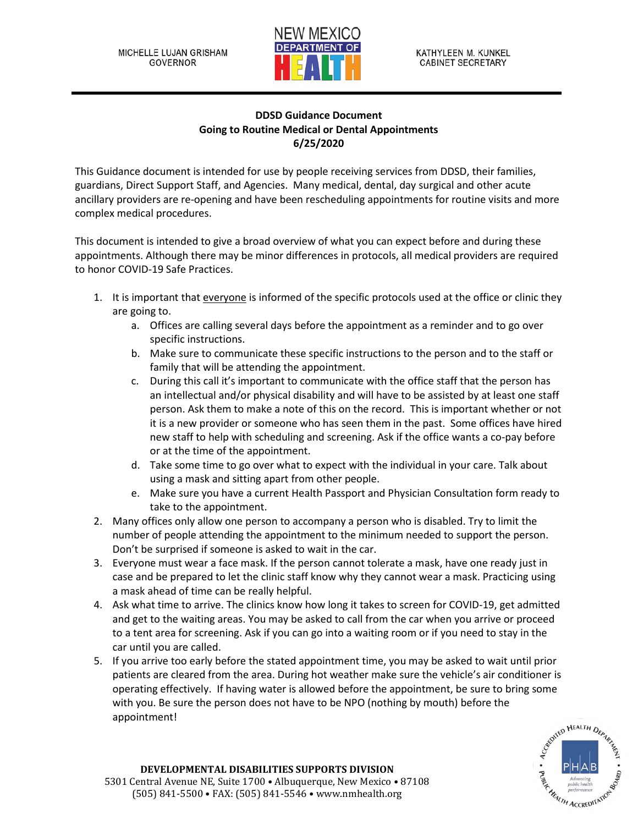

## **DDSD Guidance Document Going to Routine Medical or Dental Appointments 6/25/2020**

This Guidance document is intended for use by people receiving services from DDSD, their families, guardians, Direct Support Staff, and Agencies. Many medical, dental, day surgical and other acute ancillary providers are re-opening and have been rescheduling appointments for routine visits and more complex medical procedures.

This document is intended to give a broad overview of what you can expect before and during these appointments. Although there may be minor differences in protocols, all medical providers are required to honor COVID-19 Safe Practices.

- 1. It is important that everyone is informed of the specific protocols used at the office or clinic they are going to.
	- a. Offices are calling several days before the appointment as a reminder and to go over specific instructions.
	- b. Make sure to communicate these specific instructions to the person and to the staff or family that will be attending the appointment.
	- c. During this call it's important to communicate with the office staff that the person has an intellectual and/or physical disability and will have to be assisted by at least one staff person. Ask them to make a note of this on the record. This is important whether or not it is a new provider or someone who has seen them in the past. Some offices have hired new staff to help with scheduling and screening. Ask if the office wants a co-pay before or at the time of the appointment.
	- d. Take some time to go over what to expect with the individual in your care. Talk about using a mask and sitting apart from other people.
	- e. Make sure you have a current Health Passport and Physician Consultation form ready to take to the appointment.
- 2. Many offices only allow one person to accompany a person who is disabled. Try to limit the number of people attending the appointment to the minimum needed to support the person. Don't be surprised if someone is asked to wait in the car.
- 3. Everyone must wear a face mask. If the person cannot tolerate a mask, have one ready just in case and be prepared to let the clinic staff know why they cannot wear a mask. Practicing using a mask ahead of time can be really helpful.
- 4. Ask what time to arrive. The clinics know how long it takes to screen for COVID-19, get admitted and get to the waiting areas. You may be asked to call from the car when you arrive or proceed to a tent area for screening. Ask if you can go into a waiting room or if you need to stay in the car until you are called.
- 5. If you arrive too early before the stated appointment time, you may be asked to wait until prior patients are cleared from the area. During hot weather make sure the vehicle's air conditioner is operating effectively. If having water is allowed before the appointment, be sure to bring some with you. Be sure the person does not have to be NPO (nothing by mouth) before the appointment!



## **DEVELOPMENTAL DISABILITIES SUPPORTS DIVISION** 5301 Central Avenue NE, Suite 1700 • Albuquerque, New Mexico • 87108 (505) 841-5500 • FAX: (505) 841-5546 • www.nmhealth.org